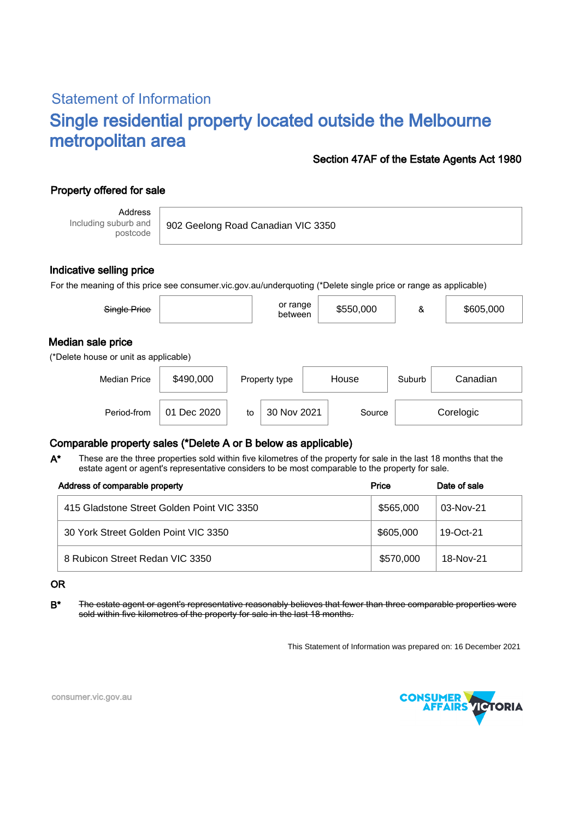# Statement of Information Single residential property located outside the Melbourne metropolitan area

### Section 47AF of the Estate Agents Act 1980

## Property offered for sale

Address Including suburb and postcode

902 Geelong Road Canadian VIC 3350

### Indicative selling price

For the meaning of this price see consumer.vic.gov.au/underquoting (\*Delete single price or range as applicable)

| Single Price                                               |           | or range<br>between | \$550,000 | &      | \$605,000 |
|------------------------------------------------------------|-----------|---------------------|-----------|--------|-----------|
| Median sale price<br>(*Delete house or unit as applicable) |           |                     |           |        |           |
| <b>Median Price</b>                                        | \$490,000 | Property type       | House     | Suburb | Canadian  |

## Comparable property sales (\*Delete A or B below as applicable)

These are the three properties sold within five kilometres of the property for sale in the last 18 months that the estate agent or agent's representative considers to be most comparable to the property for sale. A\*

Period-from  $\vert$  01 Dec 2020  $\vert$  to  $\vert$  30 Nov 2021  $\vert$  Source

| Address of comparable property             | Price     | Date of sale |  |
|--------------------------------------------|-----------|--------------|--|
| 415 Gladstone Street Golden Point VIC 3350 | \$565,000 | 03-Nov-21    |  |
| 30 York Street Golden Point VIC 3350       | \$605,000 | 19- $Oct-21$ |  |
| 8 Rubicon Street Redan VIC 3350            | \$570,000 | 18-Nov-21    |  |

#### OR

B<sup>\*</sup> The estate agent or agent's representative reasonably believes that fewer than three comparable properties were sold within five kilometres of the property for sale in the last 18 months.

This Statement of Information was prepared on: 16 December 2021

30 Nov 2021 Source Corelogic



consumer.vic.gov.au